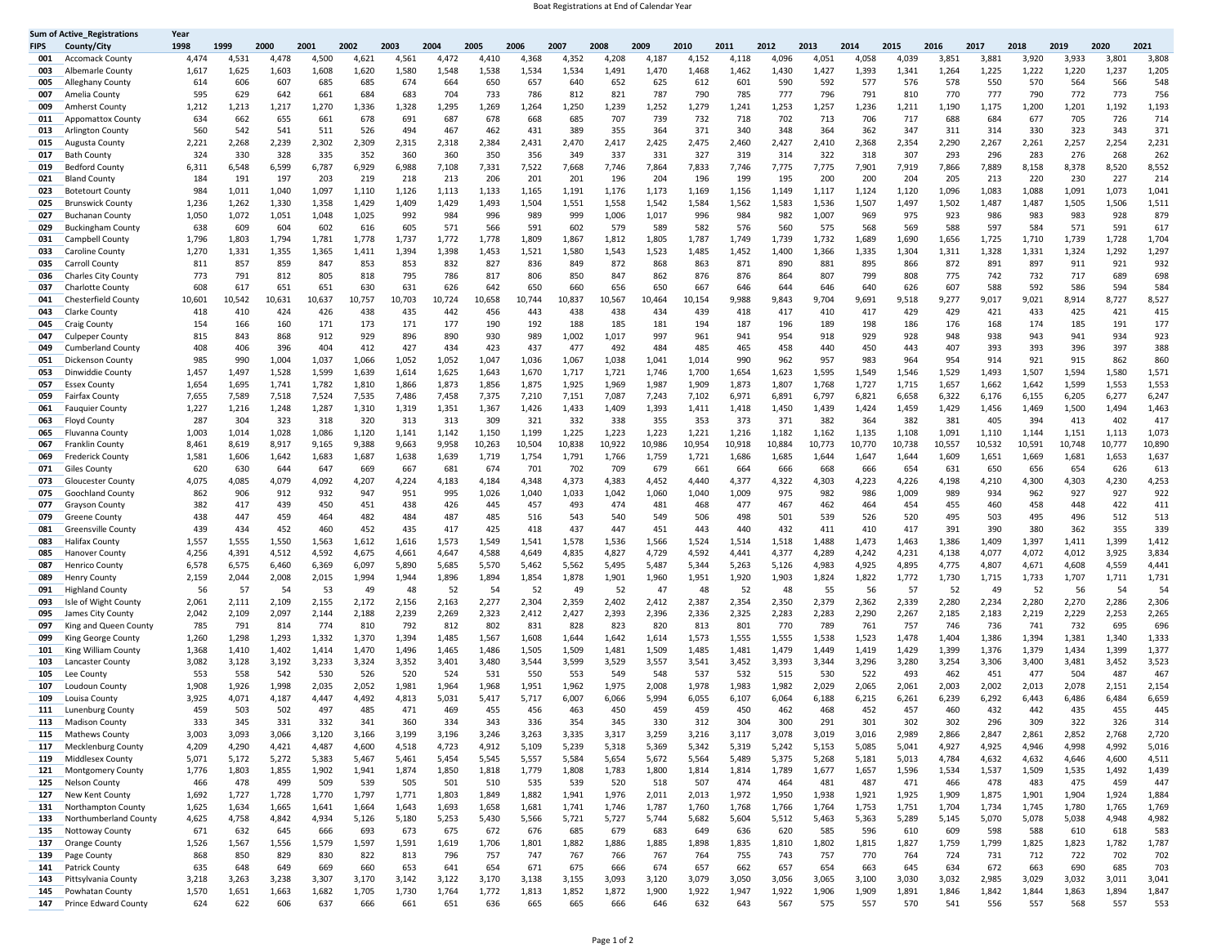## Boat Registrations at End of Calendar Year

|             | <b>Sum of Active_Registrations</b>               | Year           |                |                |                |                |                |                |                 |                 |                 |                 |                 |                 |                 |                 |                 |                 |                 |                 |                 |                 |                 |                 |                 |
|-------------|--------------------------------------------------|----------------|----------------|----------------|----------------|----------------|----------------|----------------|-----------------|-----------------|-----------------|-----------------|-----------------|-----------------|-----------------|-----------------|-----------------|-----------------|-----------------|-----------------|-----------------|-----------------|-----------------|-----------------|-----------------|
| <b>FIPS</b> | County/City                                      | 1998           | 1999           | 2000           | 2001           | 2002           | 2003           | 2004           | 2005            | 2006            | 2007            | 2008            | 2009            | 2010            | 2011            | 2012            | 2013            | 2014            | 2015            | 2016            | 2017            | 2018            | 2019            | 2020            | 2021            |
| 001         | <b>Accomack County</b>                           | 4,474          | 4,531          | 4,478          | 4,500          | 4,621          | 4,561          | 4,472          | 4,410           | 4,368           | 4,352           | 4,208           | 4,187           | 4,152           | 4,118           | 4,096           | 4,051           | 4,058           | 4,039           | 3,851           | 3,881           | 3,920           | 3,933           | 3,801           | 3,808           |
| 003         | Albemarle County                                 | 1,617          | 1,625<br>606   | 1,603<br>607   | 1,608<br>685   | 1,620<br>685   | 1,580          | 1,548<br>664   | 1,538<br>650    | 1,534<br>657    | 1,534<br>640    | 1,491           | 1,470<br>625    | 1,468           | 1,462           | 1,430<br>590    | 1,427<br>592    | 1,393<br>577    | 1,341<br>576    | 1,264<br>578    | 1,225<br>550    | 1,222<br>570    | 1,220<br>564    | 1,237<br>566    | 1,205<br>548    |
| 005<br>007  | Alleghany County<br>Amelia County                | 614<br>595     | 629            | 642            | 661            | 684            | 674<br>683     | 704            | 733             | 786             | 812             | 652<br>821      | 787             | 612<br>790      | 601<br>785      | 777             | 796             | 791             | 810             | 770             | 777             | 790             | 772             | 773             | 756             |
| 009         | Amherst County                                   | 1,212          | 1,213          | 1,217          | 1,270          | 1,336          | 1,328          | 1,295          | 1,269           | 1,264           | 1,250           | 1,239           | 1,252           | 1,279           | 1,241           | 1,253           | 1,257           | 1,236           | 1,211           | 1,190           | 1,175           | 1,200           | 1,201           | 1,192           | 1,193           |
| 011         | <b>Appomattox County</b>                         | 634            | 662            | 655            | 661            | 678            | 691            | 687            | 678             | 668             | 685             | 707             | 739             | 732             | 718             | 702             | 713             | 706             | 717             | 688             | 684             | 677             | 705             | 726             | 714             |
| 013         | Arlington County                                 | 560            | 542            | 541            | 511            | 526            | 494            | 467            | 462             | 431             | 389             | 355             | 364             | 371             | 340             | 348             | 364             | 362             | 347             | 311             | 314             | 330             | 323             | 343             | 371             |
| 015         | Augusta County                                   | 2,221          | 2,268          | 2,239          | 2,302          | 2,309          | 2,315          | 2,318          | 2,384           | 2,431           | 2,470           | 2,417           | 2,425           | 2,475           | 2,460           | 2,427           | 2,410           | 2,368           | 2,354           | 2,290           | 2,267           | 2,261           | 2,257           | 2,254           | 2,231           |
| 017         | <b>Bath County</b>                               | 324            | 330            | 328            | 335            | 352            | 360            | 360            | 350             | 356             | 349             | 337             | 331             | 327             | 319             | 314             | 322             | 318             | 307             | 293             | 296             | 283             | 276             | 268             | 262             |
| 019         | <b>Bedford County</b>                            | 6,311          | 6,548          | 6,599          | 6,787          | 6,929          | 6,988          | 7,108          | 7,331           | 7,522           | 7,668           | 7,746           | 7,864           | 7,833           | 7,746           | 7,775           | 7,775           | 7,901           | 7,919           | 7,866           | 7,889           | 8,158           | 8,378           | 8,520           | 8,552           |
| 021         | Bland County                                     | 184            | 191            | 197            | 203            | 219            | 218            | 213            | 206             | 201             | 201             | 196             | 204             | 196             | 199             | 195             | 200             | 200             | 204             | 205             | 213             | 220             | 230             | 227             | 214             |
| 023         | <b>Botetourt County</b>                          | 984            | 1,011          | 1,040          | 1,097          | 1,110          | 1,126          | 1,113          | 1,133           | 1,165           | 1,191           | 1,176           | 1,173           | 1,169           | 1,156           | 1,149           | 1,117           | 1,124           | 1,120           | 1,096           | 1,083           | 1,088           | 1,091           | 1,073           | 1,041           |
| 025         | <b>Brunswick County</b>                          | 1,236          | 1,262          | 1,330          | 1,358          | 1,429          | 1,409          | 1,429          | 1,493           | 1,504           | 1,551           | 1,558           | 1,542           | 1,584           | 1,562           | 1,583           | 1,536           | 1,507           | 1,497           | 1,502           | 1,487           | 1,487           | 1,505           | 1,506           | 1,511           |
| 027         | <b>Buchanan County</b>                           | 1,050          | 1,072          | 1,051          | 1,048          | 1,025          | 992            | 984            | 996             | 989             | 999             | 1,006           | 1,017           | 996             | 984             | 982             | 1,007           | 969             | 975             | 923             | 986             | 983             | 983             | 928             | 879             |
| 029         | <b>Buckingham County</b>                         | 638            | 609            | 604            | 602            | 616            | 605            | 571            | 566             | 591             | 602             | 579             | 589             | 582             | 576             | 560             | 575             | 568             | 569             | 588             | 597             | 584             | 571             | 591             | 617             |
| 031         | Campbell County                                  | 1,796          | 1,803          | 1,794          | 1,781          | 1,778          | 1,737          | 1,772          | 1,778           | 1,809           | 1,867           | 1,812           | 1,805           | 1,787           | 1,749           | 1,739           | 1,732           | 1,689           | 1,690           | 1,656           | 1,725           | 1,710           | 1,739           | 1,728           | 1,704           |
| 033         | Caroline County                                  | 1,270          | 1,331          | 1,355          | 1,365          | 1,411          | 1,394          | 1,398          | 1,453           | 1,521           | 1,580           | 1,543           | 1,523           | 1,485           | 1,452           | 1,400           | 1,366           | 1,335           | 1,304           | 1,311           | 1,328           | 1,331           | 1,324           | 1,292           | 1,297           |
| 035<br>036  | Carroll County                                   | 811<br>773     | 857<br>791     | 859            | 847<br>805     | 853            | 853<br>795     | 832<br>786     | 827<br>817      | 836<br>806      | 849<br>850      | 872<br>847      | 868<br>862      | 863<br>876      | 871<br>876      | 890<br>864      | 881<br>807      | 895<br>799      | 866<br>808      | 872<br>775      | 891<br>742      | 897             | 911             | 921<br>689      | 932<br>698      |
| 037         | <b>Charles City County</b><br>Charlotte County   | 608            | 617            | 812<br>651     | 651            | 818<br>630     | 631            | 626            | 642             | 650             | 660             | 656             | 650             | 667             | 646             | 644             | 646             | 640             | 626             | 607             | 588             | 732<br>592      | 717<br>586      | 594             | 584             |
| 041         | Chesterfield County                              | 10,601         | 10,542         | 10,631         | 10,637         | 10,757         | 10,703         | 0,724          | 10,658          | 10,744          | 10,837          | 10,567          | 10,464          | 10,154          | 9,988           | 9,843           | 9,704           | 9,691           | 9,518           | 9,277           | 9,017           | 9,021           | 8,914           | 8,727           | 8,527           |
| 043         | Clarke County                                    | 418            | 410            | 424            | 426            | 438            | 435            | 442            | 456             | 443             | 438             | 438             | 434             | 439             | 418             | 417             | 410             | 417             | 429             | 429             | 421             | 433             | 425             | 421             | 415             |
| 045         | Craig County                                     | 154            | 166            | 160            | 171            | 173            | 171            | 177            | 190             | 192             | 188             | 185             | 181             | 194             | 187             | 196             | 189             | 198             | 186             | 176             | 168             | 174             | 185             | 191             | 177             |
| 047         | Culpeper County                                  | 815            | 843            | 868            | 912            | 929            | 896            | 890            | 930             | 989             | 1,002           | 1,017           | 997             | 961             | 941             | 954             | 918             | 929             | 928             | 948             | 938             | 943             | 941             | 934             | 923             |
| 049         | <b>Cumberland County</b>                         | 408            | 406            | 396            | 404            | 412            | 427            | 434            | 423             | 437             | 477             | 492             | 484             | 485             | 465             | 458             | 440             | 450             | 443             | 407             | 393             | 393             | 396             | 397             | 388             |
| 051         | Dickenson County                                 | 985            | 990            | 1,004          | 1,037          | 1,066          | 1,052          | 1,052          | 1,047           | 1,036           | 1,067           | 1,038           | 1,041           | 1,014           | 990             | 962             | 957             | 983             | 964             | 954             | 914             | 921             | 915             | 862             | 860             |
| 053         | Dinwiddie County                                 | 1,457          | 1,497          | 1,528          | 1,599          | 1,639          | 1,614          | 1,625          | 1,643           | 1,670           | 1,717           | 1,721           | 1,746           | 1,700           | 1,654           | 1,623           | 1,595           | 1,549           | 1,546           | 1,529           | 1,493           | 1,507           | 1,594           | 1,580           | 1,571           |
| 057         | <b>Essex County</b>                              | 1,654          | 1,695          | 1,741          | 1,782          | 1,810          | 1,866          | 1,873          | 1,856           | 1,875           | 1,925           | 1,969           | 1,987           | 1,909           | 1,873           | 1,807           | 1,768           | 1,727           | 1,715           | 1,657           | 1,662           | 1,642           | 1,599           | 1,553           | 1,553           |
| 059         | Fairfax County                                   | 7,655          | 7,589          | 7,518          | 7,524          | 7,535          | 7,486          | 7,458          | 7,375           | 7,210           | 7,151           | 7,087           | 7,243           | 7,102           | 6,971           | 6,891           | 6,797           | 6,821           | 6,658           | 6,322           | 6,176           | 6,155           | 6,205           | 6,277           | 6,247           |
| 061         | <b>Fauquier County</b>                           | 1,227          | 1,216          | 1,248          | 1,287          | 1,310          | 1,319          | 1,351          | 1,367           | 1,426           | 1,433           | 1,409           | 1,393           | 1,411           | 1,418           | 1,450           | 1,439           | 1,424           | 1,459           | 1,429           | 1,456           | 1,469           | 1,500           | 1,494           | 1,463           |
| 063         | Floyd County                                     | 287            | 304            | 323            | 318            | 320            | 313            | 313            | 309             | 321             | 332             | 338             | 355             | 353             | 373             | 371             | 382             | 364             | 382             | 381             | 405             | 394             | 413             | 402             | 417             |
| 065         | Fluvanna County                                  | 1,003          | 1,014          | 1,028          | 1,086          | 1,120          | 1,141          | 1,142          | 1,150           | 1,199           | 1,225           | 1,223           | 1,223           | 1,221           | 1,216           | 1,182           | 1,162           | 1,135           | 1,108           | 1,091           | 1,110           | 1,144           | 1,151           | 1,113           | 1,073           |
| 067<br>069  | Franklin County<br><b>Frederick County</b>       | 8,461<br>1,581 | 8,619<br>1,606 | 8,917<br>1,642 | 9,165<br>1,683 | 9,388<br>1,687 | 9,663<br>1,638 | 9,958<br>1,639 | 10,263<br>1,719 | 10,504<br>1,754 | 10,838<br>1,791 | 10,922<br>1,766 | 10,986<br>1,759 | 10,954<br>1,721 | 10,918<br>1,686 | 10,884<br>1,685 | 10,773<br>1,644 | 10,770<br>1,647 | 10,738<br>1,644 | 10,557<br>1,609 | 10,532<br>1,651 | 10,591<br>1,669 | 10,748<br>1,681 | 10,777<br>1,653 | 10,890<br>1,637 |
| 071         | Giles County                                     | 620            | 630            | 644            | 647            | 669            | 667            | 681            | 674             | 701             | 702             | 709             | 679             | 661             | 664             | 666             | 668             | 666             | 654             | 631             | 650             | 656             | 654             | 626             | 613             |
| 073         | Gloucester County                                | 4,075          | 4,085          | 4,079          | 4,092          | 4,207          | 4,224          | 4,183          | 4,184           | 4,348           | 4,373           | 4,383           | 4,452           | 4,440           | 4,377           | 4,322           | 4,303           | 4,223           | 4,226           | 4,198           | 4,210           | 4,300           | 4,303           | 4,230           | 4,253           |
| 075         | Goochland County                                 | 862            | 906            | 912            | 932            | 947            | 951            | 995            | 1,026           | 1,040           | 1,033           | 1,042           | 1,060           | 1,040           | 1,009           | 975             | 982             | 986             | 1,009           | 989             | 934             | 962             | 927             | 927             | 922             |
| 077         | <b>Grayson County</b>                            | 382            | 417            | 439            | 450            | 451            | 438            | 426            | 445             | 457             | 493             | 474             | 481             | 468             | 477             | 467             | 462             | 464             | 454             | 455             | 460             | 458             | 448             | 422             | 411             |
| 079         | Greene County                                    | 438            | 447            | 459            | 464            | 482            | 484            | 487            | 485             | 516             | 543             | 540             | 549             | 506             | 498             | 501             | 539             | 526             | 520             | 495             | 503             | 495             | 496             | 512             | 513             |
| 081         | Greensville County                               | 439            | 434            | 452            | 460            | 452            | 435            | 417            | 425             | 418             | 437             | 447             | 451             | 443             | 440             | 432             | 411             | 410             | 417             | 391             | 390             | 380             | 362             | 355             | 339             |
| 083         | Halifax County                                   | 1,557          | 1,555          | 1,550          | 1,563          | 1,612          | 1,616          | 1,573          | 1,549           | 1,541           | 1,578           | 1,536           | 1,566           | 1,524           | 1,514           | 1,518           | 1,488           | 1,473           | 1,463           | 1,386           | 1,409           | 1,397           | 1,411           | 1,399           | 1,412           |
| 085         | <b>Hanover County</b>                            | 4,256          | 4,391          | 4,512          | 4,592          | 4,675          | 4,661          | 4,647          | 4,588           | 4,649           | 4,835           | 4,827           | 4,729           | 4,592           | 4,441           | 4,377           | 4,289           | 4,242           | 4,231           | 4,138           | 4,077           | 4,072           | 4,012           | 3,925           | 3,834           |
| 087<br>089  | Henrico County                                   | 6,578<br>2,159 | 6,575<br>2,044 | 6,460<br>2,008 | 6,369<br>2,015 | 6,097<br>1,994 | 5,890<br>1,944 | 5,685<br>1,896 | 5,570<br>1,894  | 5,462<br>1,854  | 5,562<br>1,878  | 5,495<br>1,901  | 5,487<br>1,960  | 5,344<br>1,951  | 5,263<br>1,920  | 5,126<br>1,903  | 4,983<br>1,824  | 4,925<br>1,822  | 4,895<br>1,772  | 4,775<br>1,730  | 4,807<br>1,715  | 4,671<br>1,733  | 4,608<br>1,707  | 4,559<br>1,711  | 4,441<br>1,731  |
| 091         | Henry County<br>Highland County                  | 56             | 57             | 54             | 53             | 49             | 48             | 52             | 54              | 52              | 49              | 52              | 47              | 48              | 52              | 48              | 55              | 56              | 57              | 52              | 49              | 52              | 56              | 54              | 54              |
| 093         | Isle of Wight County                             | 2,061          | 2,111          | 2,109          | 2,155          | 2,172          | 2,156          | 2,163          | 2,277           | 2,304           | 2,359           | 2,402           | 2,412           | 2,387           | 2,354           | 2,350           | 2,379           | 2,362           | 2,339           | 2,280           | 2,234           | 2,280           | 2,270           | 2,286           | 2,306           |
| 095         | James City County                                | 2,042          | 2,109          | 2,097          | 2,144          | 2,188          | 2,239          | 2,269          | 2,323           | 2,412           | 2,427           | 2,393           | 2,396           | 2,336           | 2,325           | 2,283           | 2,283           | 2,290           | 2,267           | 2,185           | 2,183           | 2,219           | 2,229           | 2,253           | 2,265           |
| 097         | King and Queen County                            | 785            | 791            | 814            | 774            | 810            | 792            | 812            | 802             | 831             | 828             | 823             | 820             | 813             | 801             | 770             | 789             | 761             | 757             | 746             | 736             | 741             | 732             | 695             | 696             |
| 099         | King George County                               | 1,260          | 1,298          | 1,293          | 1,332          | 1,370          | 1,394          | 1,485          | 1,567           | 1,608           | 1,644           | 1,642           | 1,614           | 1,573           | 1,555           | 1,555           | 1,538           | 1,523           | 1,478           | 1,404           | 1,386           | 1,394           | 1,381           | 1,340           | 1,333           |
| 101         | King William County                              | 1,368          | 1,410          | 1,402          | 1,414          | 1,470          | 1,496          | 1,465          | 1,486           | 1,505           | 1,509           | 1,481           | 1,509           | 1,485           | 1,481           | 1,479           | 1,449           | 1,419           | 1,429           | 1,399           | 1,376           | 1,379           | 1,434           | 1,399           | 1,377           |
| 103         | Lancaster County                                 | 3,082          | 3,128          | 3,192          | 3,233          | 3,324          | 3,352          | 3,401          | 3,480           | 3,544           | 3,599           | 3,529           | 3,557           | 3,541           | 3,452           | 3,393           | 3,344           | 3,296           | 3,280           | 3,254           | 3,306           | 3,400           | 3,481           | 3,452           | 3,523           |
| 105         | Lee County                                       | 553            | 558            | 542            | 530            | 526            | 520            | 524            | 531             | 550             | 553             | 549             | 548             | 537             | 532             | 515             | 530             | 522             | 493             | 462             | 451             | 477             | 504             | 487             | 467             |
| 107         | Loudoun County                                   | 1,908          | 1,926          | 1,998          | 2,035          | 2,052          | 1,981          | 1,964          | 1,968           | 1,951           | 1,962           | 1,975           | 2,008           | 1,978           | 1,983           | 1,982           | 2,029           | 2,065           | 2,061           | 2,003           | 2,002           | 2,013           | 2,078           | 2,151           | 2,154           |
| 109<br>111  | Louisa County                                    | 3,925<br>459   | 4,071<br>503   | 4,187<br>502   | 4,447<br>497   | 4,492<br>485   | 4,813<br>471   | 5,031<br>469   | 5,417<br>455    | 5,717<br>456    | 6,007<br>463    | 6,066<br>450    | 5,994<br>459    | 6,055<br>459    | 6,107<br>450    | 6,064<br>462    | 6,188<br>468    | 6,215<br>452    | 6,261<br>457    | 6,239<br>460    | 6,292<br>432    | 6,443<br>442    | 6,486<br>435    | 6,484<br>455    | 6,659<br>445    |
| 113         | <b>Lunenburg County</b><br><b>Madison County</b> | 333            | 345            | 331            | 332            | 341            | 360            | 334            | 343             | 336             | 354             | 345             | 330             | 312             | 304             | 300             | 291             | 301             | 302             | 302             | 296             | 309             | 322             | 326             | 314             |
| 115         | <b>Mathews County</b>                            | 3,003          | 3,093          | 3,066          | 3,120          | 3,166          | 3,199          | 3,196          | 3,246           | 3,263           | 3,335           | 3,317           | 3,259           | 3,216           | 3,117           | 3,078           | 3,019           | 3,016           | 2,989           | 2,866           | 2,847           | 2,861           | 2,852           | 2,768           | 2,720           |
| 117         | <b>Mecklenburg County</b>                        | 4,209          | 4,290          | 4,421          | 4,487          | 4,600          | 4,518          | 4,723          | 4,912           | 5,109           | 5,239           | 5,318           | 5,369           | 5,342           | 5,319           | 5,242           | 5,153           | 5,085           | 5,041           | 4,927           | 4,925           | 4,946           | 4,998           | 4,992           | 5,016           |
| 119         | Middlesex County                                 | 5,071          | 5,172          | 5,272          | 5,383          | 5,467          | 5,461          | 5,454          | 5,545           | 5,557           | 5,584           | 5,654           | 5,672           | 5,564           | 5,489           | 5,375           | 5,268           | 5,181           | 5,013           | 4,784           | 4,632           | 4,632           | 4,646           | 4,600           | 4,511           |
| 121         | <b>Montgomery County</b>                         | 1,776          | 1,803          | 1,855          | 1,902          | 1,941          | 1,874          | 1,850          | 1,818           | 1,779           | 1,808           | 1,783           | 1,800           | 1,814           | 1,814           | 1,789           | 1,677           | 1,657           | 1,596           | 1,534           | 1,537           | 1,509           | 1,535           | 1,492           | 1,439           |
| 125         | <b>Nelson County</b>                             | 466            | 478            | 499            | 509            | 539            | 505            | 501            | 510             | 535             | 539             | 520             | 518             | 507             | 474             | 464             | 481             | 487             | 471             | 466             | 478             | 483             | 475             | 459             | 447             |
| 127         | New Kent County                                  | 1,692          | 1,727          | 1,728          | 1,770          | 1,797          | 1,771          | 1,803          | 1,849           | 1,882           | 1,941           | 1,976           | 2,011           | 2,013           | 1,972           | 1,950           | 1,938           | 1,921           | 1,925           | 1,909           | 1,875           | 1,901           | 1,904           | 1,924           | 1,884           |
| 131         | Northampton County                               | 1,625          | 1,634          | 1,665          | 1,641          | 1,664          | 1,643          | 1,693          | 1,658           | 1,681           | 1,741           | 1,746           | 1,787           | 1,760           | 1,768           | 1,766           | 1,764           | 1,753           | 1,751           | 1,704           | 1,734           | 1,745           | 1,780           | 1,765           | 1,769           |
| 133         | Northumberland County                            | 4,625          | 4,758          | 4,842          | 4,934          | 5,126          | 5,180          | 5,253          | 5,430           | 5,566           | 5,721           | 5,727           | 5,744           | 5,682           | 5,604           | 5,512           | 5,463           | 5,363           | 5,289           | 5,145           | 5,070           | 5,078           | 5,038           | 4,948           | 4,982           |
| 135         | <b>Nottoway County</b>                           | 671            | 632            | 645            | 666            | 693            | 673            | 675            | 672             | 676             | 685             | 679             | 683             | 649             | 636             | 620             | 585             | 596             | 610             | 609             | 598             | 588             | 610             | 618             | 583             |
| 137<br>139  | Orange County<br>Page County                     | 1,526<br>868   | 1,567<br>850   | 1,556<br>829   | 1,579<br>830   | 1,597<br>822   | 1,591<br>813   | 1,619<br>796   | 1,706<br>757    | 1,801<br>747    | 1,882<br>767    | 1,886<br>766    | 1,885<br>767    | 1,898<br>764    | 1,835<br>755    | 1,810<br>743    | 1,802<br>757    | 1,815<br>770    | 1,827<br>764    | 1,759<br>724    | 1,799<br>731    | 1,825<br>712    | 1,823<br>722    | 1,782<br>702    | 1,787<br>702    |
| 141         | Patrick County                                   | 635            | 648            | 649            | 669            | 660            | 653            | 641            | 654             | 671             | 675             | 666             | 674             | 657             | 662             | 657             | 654             | 663             | 645             | 634             | 672             | 663             | 690             | 685             | 703             |
| 143         | Pittsylvania County                              | 3,218          | 3,263          | 3,238          | 3,307          | 3,170          | 3,142          | 3,122          | 3,170           | 3,138           | 3,155           | 3,093           | 3,120           | 3,079           | 3,050           | 3,056           | 3,065           | 3,100           | 3,030           | 3,032           | 2,985           | 3,029           | 3,032           | 3,011           | 3,041           |
| 145         | Powhatan County                                  | 1,570          | 1,651          | 1,663          | 1,682          | 1,705          | 1,730          | 1,764          | 1,772           | 1,813           | 1,852           | 1,872           | 1,900           | 1,922           | 1,947           | 1,922           | 1,906           | 1,909           | 1,891           | 1,846           | 1,842           | 1,844           | 1,863           | 1,894           | 1,847           |
| 147         | Prince Edward County                             | 624            | 622            | 606            | 637            | 666            | 661            | 651            | 636             | 665             | 665             | 666             | 646             | 632             | 643             | 567             | 575             | 557             | 570             | 541             | 556             | 557             | 568             | 557             | 553             |